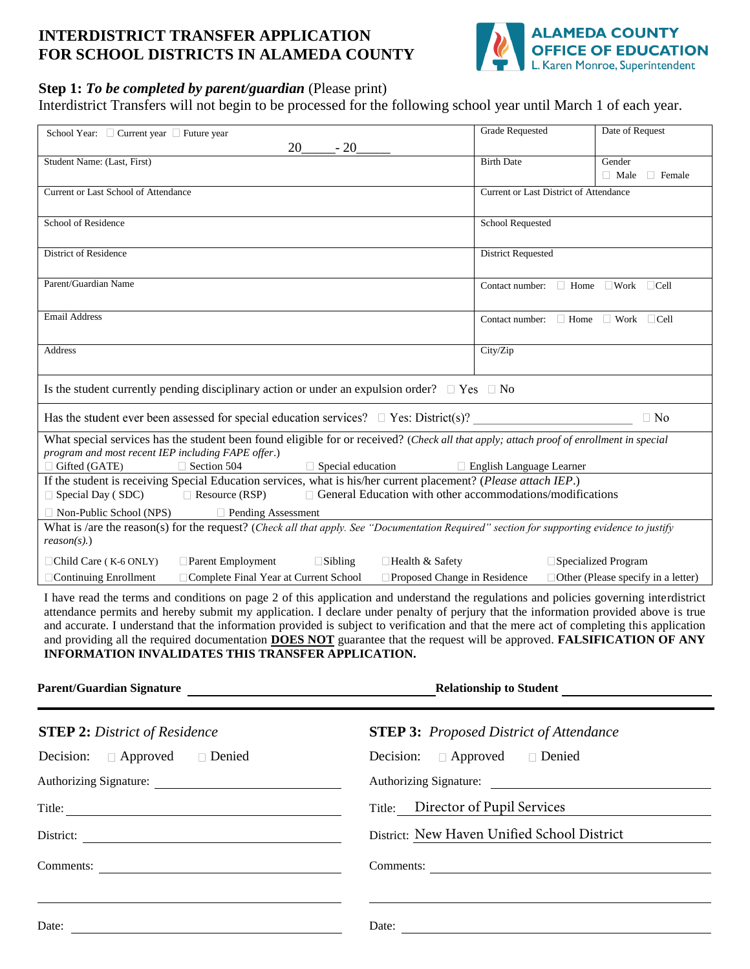## **INTERDISTRICT TRANSFER APPLICATION FOR SCHOOL DISTRICTS IN ALAMEDA COUNTY**



## **Step 1:** *To be completed by parent/guardian* (Please print)

Interdistrict Transfers will not begin to be processed for the following school year until March 1 of each year.

| School Year: □ Current year □ Future year                                                                                                                                                                                                                                     | <b>Grade Requested</b>                  | Date of Request                           |  |
|-------------------------------------------------------------------------------------------------------------------------------------------------------------------------------------------------------------------------------------------------------------------------------|-----------------------------------------|-------------------------------------------|--|
| 20<br>$-20$                                                                                                                                                                                                                                                                   |                                         |                                           |  |
| Student Name: (Last, First)                                                                                                                                                                                                                                                   | <b>Birth Date</b>                       | Gender                                    |  |
|                                                                                                                                                                                                                                                                               |                                         | $\Box$ Male<br>$\Box$ Female              |  |
| Current or Last School of Attendance                                                                                                                                                                                                                                          | Current or Last District of Attendance  |                                           |  |
|                                                                                                                                                                                                                                                                               |                                         |                                           |  |
| School of Residence                                                                                                                                                                                                                                                           | <b>School Requested</b>                 |                                           |  |
| <b>District of Residence</b>                                                                                                                                                                                                                                                  | <b>District Requested</b>               |                                           |  |
|                                                                                                                                                                                                                                                                               |                                         |                                           |  |
| Parent/Guardian Name                                                                                                                                                                                                                                                          | Contact number: $\Box$ Home             | $\Box$ Work $\Box$ Cell                   |  |
|                                                                                                                                                                                                                                                                               |                                         |                                           |  |
| <b>Email Address</b>                                                                                                                                                                                                                                                          | Contact number: $\Box$ Home $\Box$ Work | $\Box$ Cell                               |  |
|                                                                                                                                                                                                                                                                               |                                         |                                           |  |
| <b>Address</b>                                                                                                                                                                                                                                                                | City/Zip                                |                                           |  |
|                                                                                                                                                                                                                                                                               |                                         |                                           |  |
| Is the student currently pending disciplinary action or under an expulsion order? $\Box$ Yes $\Box$ No                                                                                                                                                                        |                                         |                                           |  |
| Has the student ever been assessed for special education services? $\Box$ Yes: District(s)?                                                                                                                                                                                   |                                         | $\Box$ No                                 |  |
| What special services has the student been found eligible for or received? (Check all that apply; attach proof of enrollment in special                                                                                                                                       |                                         |                                           |  |
| program and most recent IEP including FAPE offer.)                                                                                                                                                                                                                            |                                         |                                           |  |
| $\Box$ Gifted (GATE)<br>$\Box$ Special education<br>$\Box$ Section 504<br>□ English Language Learner                                                                                                                                                                          |                                         |                                           |  |
| If the student is receiving Special Education services, what is his/her current placement? (Please attach IEP.)                                                                                                                                                               |                                         |                                           |  |
| $\Box$ General Education with other accommodations/modifications<br>$\Box$ Special Day (SDC)<br>$\Box$ Resource (RSP)                                                                                                                                                         |                                         |                                           |  |
| $\Box$ Non-Public School (NPS)<br>$\Box$ Pending Assessment                                                                                                                                                                                                                   |                                         |                                           |  |
| What is /are the reason(s) for the request? (Check all that apply. See "Documentation Required" section for supporting evidence to justify                                                                                                                                    |                                         |                                           |  |
| $reason(s)$ .)                                                                                                                                                                                                                                                                |                                         |                                           |  |
| Child Care (K-6 ONLY)<br>Parent Employment<br>$\Box$ Sibling<br>□Health & Safety                                                                                                                                                                                              |                                         | □Specialized Program                      |  |
| □ Complete Final Year at Current School<br>$\square$ Proposed Change in Residence<br>$\Box$ Continuing Enrollment                                                                                                                                                             |                                         | $\Box$ Other (Please specify in a letter) |  |
| I have read the terms and conditions on page 2 of this application and understand the regulations and policies governing interdistrict<br>attendance permits and hereby submit my application. I declare under penalty of perjury that the information provided above is true |                                         |                                           |  |

attendance permits and hereby submit my application. I declare under penalty of perjury that the information provided above is true and accurate. I understand that the information provided is subject to verification and that the mere act of completing this application and providing all the required documentation **DOES NOT** guarantee that the request will be approved. **FALSIFICATION OF ANY INFORMATION INVALIDATES THIS TRANSFER APPLICATION.**

| Parent/Guardian Signature                                            | Relationship to Student <b>Constant Constant Constant Constant Constant Constant Constant Constant Constant Constant Constant Constant Constant Constant Constant Constant Constant Constant Constant Constant Constant Constant</b> |
|----------------------------------------------------------------------|--------------------------------------------------------------------------------------------------------------------------------------------------------------------------------------------------------------------------------------|
| <b>STEP 2:</b> District of Residence                                 | <b>STEP 3:</b> Proposed District of Attendance                                                                                                                                                                                       |
| Decision: $\Box$ Approved<br>Denied                                  | Decision: $\Box$ Approved $\Box$ Denied                                                                                                                                                                                              |
| Authorizing Signature:                                               | Authorizing Signature:                                                                                                                                                                                                               |
|                                                                      | Title: Director of Pupil Services                                                                                                                                                                                                    |
| District:<br><u> 1989 - Johann Stein, fransk politiker (d. 1989)</u> | District: New Haven Unified School District                                                                                                                                                                                          |
| Comments:                                                            | Comments:                                                                                                                                                                                                                            |
|                                                                      |                                                                                                                                                                                                                                      |
| Date:                                                                | Date:                                                                                                                                                                                                                                |